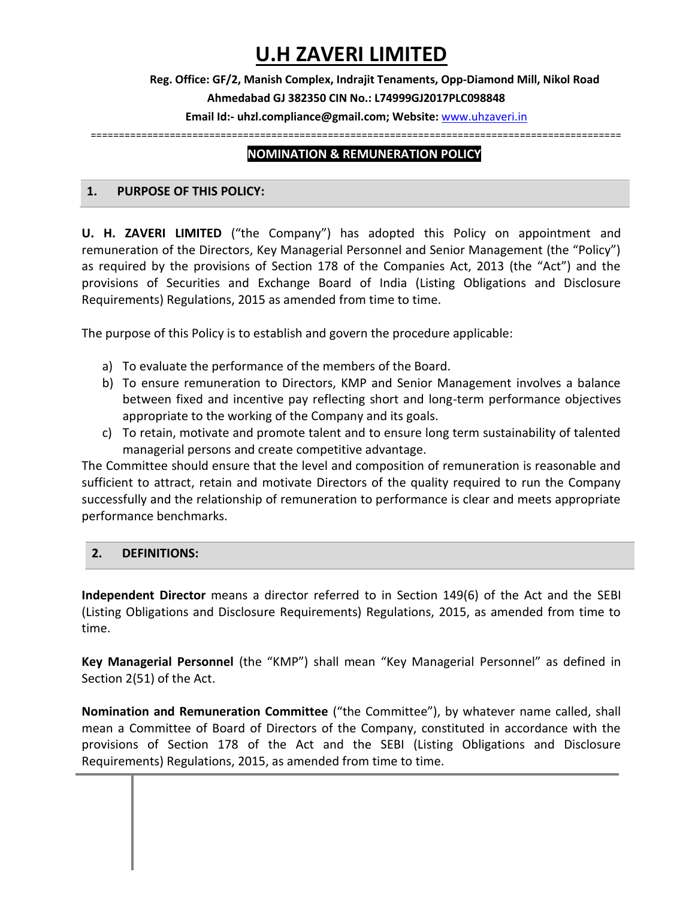# **U.H ZAVERI LIMITED**

## **Reg. Office: GF/2, Manish Complex, Indrajit Tenaments, Opp-Diamond Mill, Nikol Road Ahmedabad GJ 382350 CIN No.: L74999GJ2017PLC098848**

## **Email Id:- uhzl.compliance@gmail.com; Website:** [www.uhzaveri.i](http://www.uhzaveri./)n

==============================================================================================

## **NOMINATION & REMUNERATION POLICY**

#### **1. PURPOSE OF THIS POLICY:**

**U. H. ZAVERI LIMITED** ("the Company") has adopted this Policy on appointment and remuneration of the Directors, Key Managerial Personnel and Senior Management (the "Policy") as required by the provisions of Section 178 of the Companies Act, 2013 (the "Act") and the provisions of Securities and Exchange Board of India (Listing Obligations and Disclosure Requirements) Regulations, 2015 as amended from time to time.

The purpose of this Policy is to establish and govern the procedure applicable:

- a) To evaluate the performance of the members of the Board.
- b) To ensure remuneration to Directors, KMP and Senior Management involves a balance between fixed and incentive pay reflecting short and long-term performance objectives appropriate to the working of the Company and its goals.
- c) To retain, motivate and promote talent and to ensure long term sustainability of talented managerial persons and create competitive advantage.

The Committee should ensure that the level and composition of remuneration is reasonable and sufficient to attract, retain and motivate Directors of the quality required to run the Company successfully and the relationship of remuneration to performance is clear and meets appropriate performance benchmarks.

## **2. DEFINITIONS:**

**Independent Director** means a director referred to in Section 149(6) of the Act and the SEBI (Listing Obligations and Disclosure Requirements) Regulations, 2015, as amended from time to time.

**Key Managerial Personnel** (the "KMP") shall mean "Key Managerial Personnel" as defined in Section 2(51) of the Act.

**Nomination and Remuneration Committee** ("the Committee"), by whatever name called, shall mean a Committee of Board of Directors of the Company, constituted in accordance with the provisions of Section 178 of the Act and the SEBI (Listing Obligations and Disclosure Requirements) Regulations, 2015, as amended from time to time.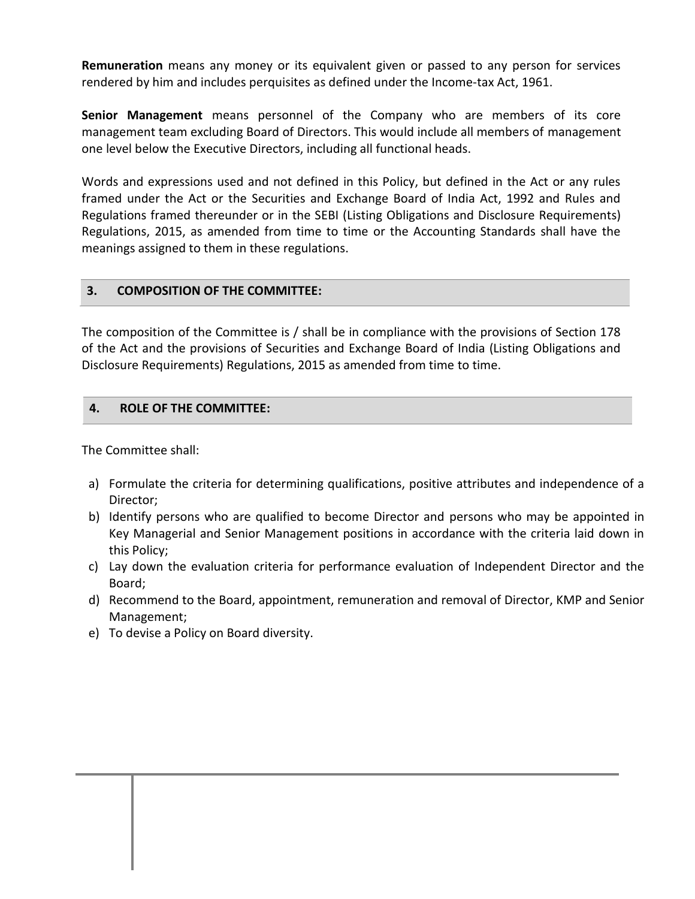**Remuneration** means any money or its equivalent given or passed to any person for services rendered by him and includes perquisites as defined under the Income-tax Act, 1961.

**Senior Management** means personnel of the Company who are members of its core management team excluding Board of Directors. This would include all members of management one level below the Executive Directors, including all functional heads.

Words and expressions used and not defined in this Policy, but defined in the Act or any rules framed under the Act or the Securities and Exchange Board of India Act, 1992 and Rules and Regulations framed thereunder or in the SEBI (Listing Obligations and Disclosure Requirements) Regulations, 2015, as amended from time to time or the Accounting Standards shall have the meanings assigned to them in these regulations.

#### **3. COMPOSITION OF THE COMMITTEE:**

The composition of the Committee is / shall be in compliance with the provisions of Section 178 of the Act and the provisions of Securities and Exchange Board of India (Listing Obligations and Disclosure Requirements) Regulations, 2015 as amended from time to time.

#### **4. ROLE OF THE COMMITTEE:**

The Committee shall:

- a) Formulate the criteria for determining qualifications, positive attributes and independence of a Director;
- b) Identify persons who are qualified to become Director and persons who may be appointed in Key Managerial and Senior Management positions in accordance with the criteria laid down in this Policy;
- c) Lay down the evaluation criteria for performance evaluation of Independent Director and the Board;
- d) Recommend to the Board, appointment, remuneration and removal of Director, KMP and Senior Management;
- e) To devise a Policy on Board diversity.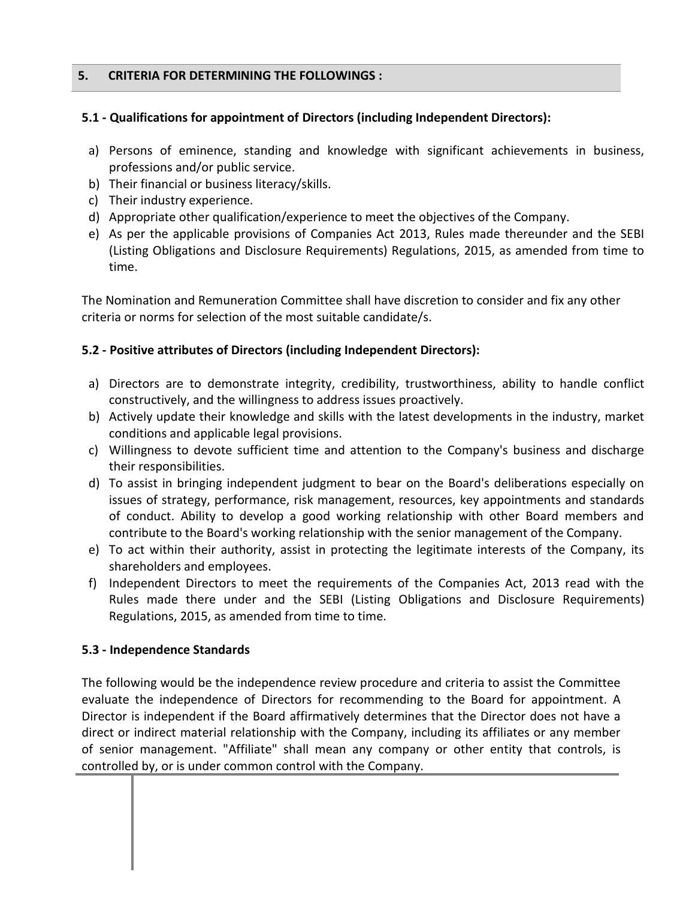#### **5. CRITERIA FOR DETERMINING THE FOLLOWINGS :**

#### **5.1 - Qualifications for appointment of Directors (including Independent Directors):**

- a) Persons of eminence, standing and knowledge with significant achievements in business, professions and/or public service.
- b) Their financial or business literacy/skills.
- c) Their industry experience.
- d) Appropriate other qualification/experience to meet the objectives of the Company.
- e) As per the applicable provisions of Companies Act 2013, Rules made thereunder and the SEBI (Listing Obligations and Disclosure Requirements) Regulations, 2015, as amended from time to time.

The Nomination and Remuneration Committee shall have discretion to consider and fix any other criteria or norms for selection of the most suitable candidate/s.

## **5.2 - Positive attributes of Directors (including Independent Directors):**

- a) Directors are to demonstrate integrity, credibility, trustworthiness, ability to handle conflict constructively, and the willingness to address issues proactively.
- b) Actively update their knowledge and skills with the latest developments in the industry, market conditions and applicable legal provisions.
- c) Willingness to devote sufficient time and attention to the Company's business and discharge their responsibilities.
- d) To assist in bringing independent judgment to bear on the Board's deliberations especially on issues of strategy, performance, risk management, resources, key appointments and standards of conduct. Ability to develop a good working relationship with other Board members and contribute to the Board's working relationship with the senior management of the Company.
- e) To act within their authority, assist in protecting the legitimate interests of the Company, its shareholders and employees.
- f) Independent Directors to meet the requirements of the Companies Act, 2013 read with the Rules made there under and the SEBI (Listing Obligations and Disclosure Requirements) Regulations, 2015, as amended from time to time.

## **5.3 - Independence Standards**

The following would be the independence review procedure and criteria to assist the Committee evaluate the independence of Directors for recommending to the Board for appointment. A Director is independent if the Board affirmatively determines that the Director does not have a direct or indirect material relationship with the Company, including its affiliates or any member of senior management. "Affiliate" shall mean any company or other entity that controls, is controlled by, or is under common control with the Company.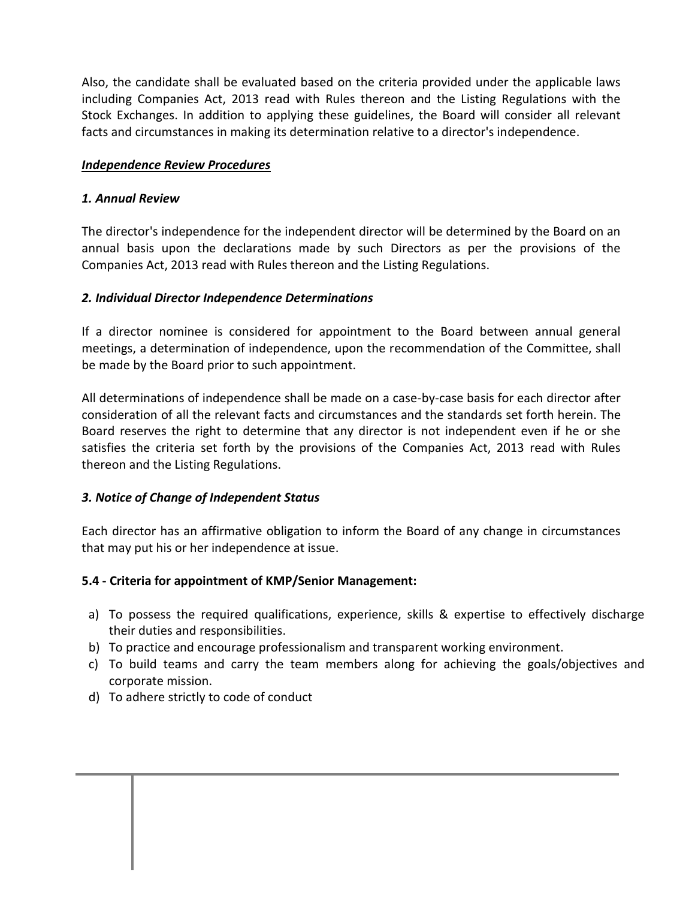Also, the candidate shall be evaluated based on the criteria provided under the applicable laws including Companies Act, 2013 read with Rules thereon and the Listing Regulations with the Stock Exchanges. In addition to applying these guidelines, the Board will consider all relevant facts and circumstances in making its determination relative to a director's independence.

#### *Independence Review Procedures*

#### *1. Annual Review*

The director's independence for the independent director will be determined by the Board on an annual basis upon the declarations made by such Directors as per the provisions of the Companies Act, 2013 read with Rules thereon and the Listing Regulations.

#### *2. Individual Director Independence Determinations*

If a director nominee is considered for appointment to the Board between annual general meetings, a determination of independence, upon the recommendation of the Committee, shall be made by the Board prior to such appointment.

All determinations of independence shall be made on a case-by-case basis for each director after consideration of all the relevant facts and circumstances and the standards set forth herein. The Board reserves the right to determine that any director is not independent even if he or she satisfies the criteria set forth by the provisions of the Companies Act, 2013 read with Rules thereon and the Listing Regulations.

#### *3. Notice of Change of Independent Status*

Each director has an affirmative obligation to inform the Board of any change in circumstances that may put his or her independence at issue.

## **5.4 - Criteria for appointment of KMP/Senior Management:**

- a) To possess the required qualifications, experience, skills & expertise to effectively discharge their duties and responsibilities.
- b) To practice and encourage professionalism and transparent working environment.
- c) To build teams and carry the team members along for achieving the goals/objectives and corporate mission.
- d) To adhere strictly to code of conduct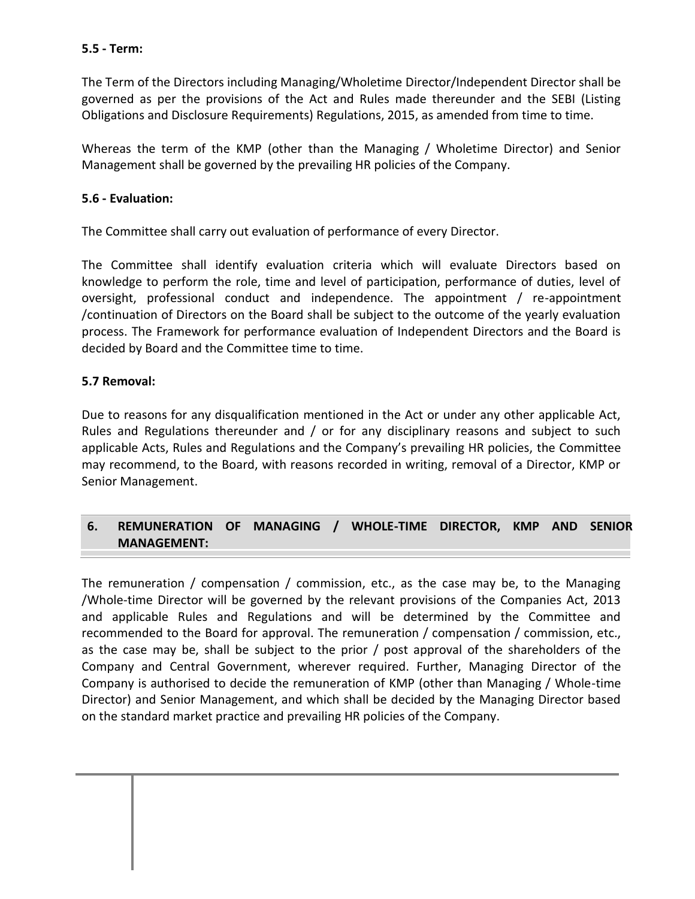#### **5.5 - Term:**

The Term of the Directors including Managing/Wholetime Director/Independent Director shall be governed as per the provisions of the Act and Rules made thereunder and the SEBI (Listing Obligations and Disclosure Requirements) Regulations, 2015, as amended from time to time.

Whereas the term of the KMP (other than the Managing / Wholetime Director) and Senior Management shall be governed by the prevailing HR policies of the Company.

### **5.6 - Evaluation:**

The Committee shall carry out evaluation of performance of every Director.

The Committee shall identify evaluation criteria which will evaluate Directors based on knowledge to perform the role, time and level of participation, performance of duties, level of oversight, professional conduct and independence. The appointment / re-appointment /continuation of Directors on the Board shall be subject to the outcome of the yearly evaluation process. The Framework for performance evaluation of Independent Directors and the Board is decided by Board and the Committee time to time.

#### **5.7 Removal:**

Due to reasons for any disqualification mentioned in the Act or under any other applicable Act, Rules and Regulations thereunder and / or for any disciplinary reasons and subject to such applicable Acts, Rules and Regulations and the Company's prevailing HR policies, the Committee may recommend, to the Board, with reasons recorded in writing, removal of a Director, KMP or Senior Management.

## **6. REMUNERATION OF MANAGING / WHOLE-TIME DIRECTOR, KMP AND SENIOR MANAGEMENT:**

The remuneration / compensation / commission, etc., as the case may be, to the Managing /Whole-time Director will be governed by the relevant provisions of the Companies Act, 2013 and applicable Rules and Regulations and will be determined by the Committee and recommended to the Board for approval. The remuneration / compensation / commission, etc., as the case may be, shall be subject to the prior / post approval of the shareholders of the Company and Central Government, wherever required. Further, Managing Director of the Company is authorised to decide the remuneration of KMP (other than Managing / Whole-time Director) and Senior Management, and which shall be decided by the Managing Director based on the standard market practice and prevailing HR policies of the Company.